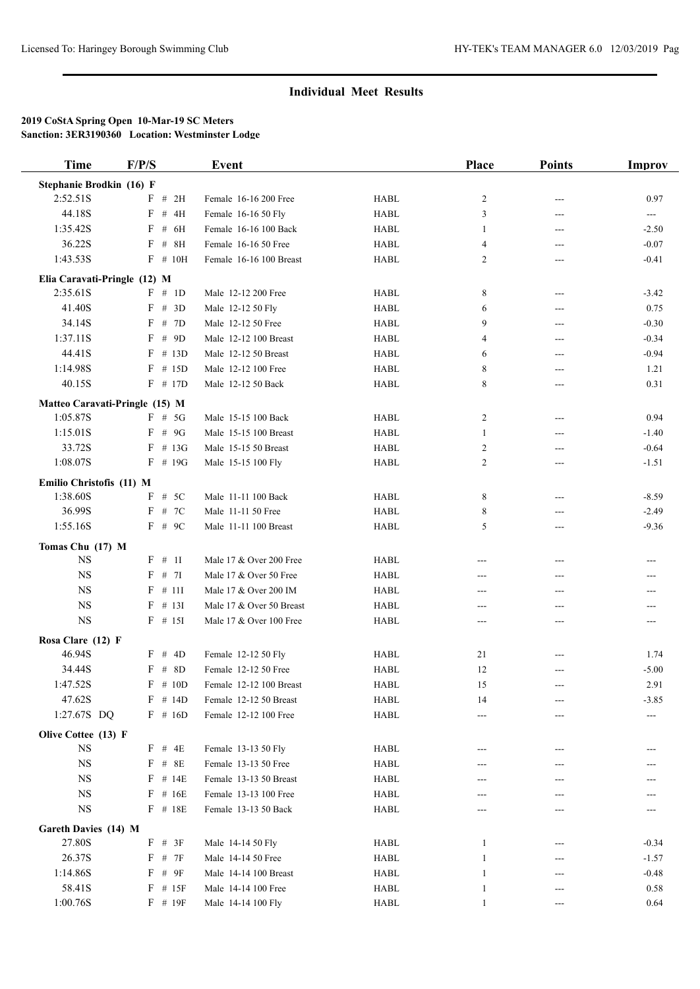| <b>Time</b>                  | F/P/S                          | Event                    |             | <b>Place</b>   | <b>Points</b> | Improv  |
|------------------------------|--------------------------------|--------------------------|-------------|----------------|---------------|---------|
| Stephanie Brodkin (16) F     |                                |                          |             |                |               |         |
| 2:52.51S                     | F # 2H                         | Female 16-16 200 Free    | <b>HABL</b> | $\overline{c}$ | $---$         | 0.97    |
| 44.18S                       | $#$<br>F<br>4H                 | Female 16-16 50 Fly      | <b>HABL</b> | 3              | ---           | ---     |
| 1:35.42S                     | $\#$<br>6H<br>F                | Female 16-16 100 Back    | <b>HABL</b> | -1             | $---$         | $-2.50$ |
| 36.22S                       | F<br>$#$ 8H                    | Female 16-16 50 Free     | <b>HABL</b> | 4              | ---           | $-0.07$ |
| 1:43.53S                     | $F$ # 10H                      | Female 16-16 100 Breast  | <b>HABL</b> | 2              | ---           | $-0.41$ |
| Elia Caravati-Pringle (12) M |                                |                          |             |                |               |         |
| 2:35.61S                     | $F \# 1D$                      | Male 12-12 200 Free      | <b>HABL</b> | 8              | ---           | $-3.42$ |
| 41.40S                       | F # 3D                         | Male 12-12 50 Fly        | <b>HABL</b> | 6              | ---           | 0.75    |
| 34.14S                       | # 7D<br>F                      | Male 12-12 50 Free       | <b>HABL</b> | 9              | $---$         | $-0.30$ |
| 1:37.11S                     | # $9D$<br>F                    | Male 12-12 100 Breast    | <b>HABL</b> | 4              | ---           | $-0.34$ |
| 44.41S                       | # 13D<br>F                     | Male 12-12 50 Breast     | <b>HABL</b> | 6              | $---$         | $-0.94$ |
|                              |                                | Male 12-12 100 Free      |             |                |               |         |
| 1:14.98S                     | $F$ # 15D                      |                          | <b>HABL</b> | 8              | ---           | 1.21    |
| 40.15S                       | $F$ # 17D                      | Male 12-12 50 Back       | <b>HABL</b> | 8              | ---           | 0.31    |
|                              | Matteo Caravati-Pringle (15) M |                          |             |                |               |         |
| 1:05.87S                     | $F$ # 5G                       | Male 15-15 100 Back      | <b>HABL</b> | $\overline{c}$ | $---$         | 0.94    |
| 1:15.01S                     | $F$ # 9G                       | Male 15-15 100 Breast    | <b>HABL</b> | 1              | ---           | $-1.40$ |
| 33.72S                       | $F \# 13G$                     | Male 15-15 50 Breast     | <b>HABL</b> | 2              | ---           | $-0.64$ |
| 1:08.07S                     | $F$ # 19G                      | Male 15-15 100 Fly       | <b>HABL</b> | 2              | ---           | $-1.51$ |
| Emilio Christofis (11) M     |                                |                          |             |                |               |         |
| 1:38.60S                     | $F$ # 5C                       | Male 11-11 100 Back      | <b>HABL</b> | 8              | ---           | $-8.59$ |
| 36.99S                       | F # 7C                         | Male 11-11 50 Free       | <b>HABL</b> | 8              | ---           | $-2.49$ |
| 1:55.16S                     | $F$ # 9C                       | Male 11-11 100 Breast    | <b>HABL</b> | 5              | ---           | $-9.36$ |
| Tomas Chu (17) M             |                                |                          |             |                |               |         |
| <b>NS</b>                    | F # 1I                         | Male 17 & Over 200 Free  | <b>HABL</b> | ---            | ---           | ---     |
| $_{\rm NS}$                  | F<br># 7I                      | Male 17 & Over 50 Free   | <b>HABL</b> | ---            | ---           | ---     |
| <b>NS</b>                    | # 11I<br>F                     | Male 17 & Over 200 IM    | <b>HABL</b> | ---            | ---           | ---     |
| <b>NS</b>                    | # 13I<br>F                     | Male 17 & Over 50 Breast | <b>HABL</b> |                | ---           | ---     |
| <b>NS</b>                    | $F$ # 15I                      | Male 17 & Over 100 Free  | <b>HABL</b> | ---            | ---           | ---     |
|                              |                                |                          |             | ---            |               |         |
| Rosa Clare (12) F            |                                |                          |             |                |               |         |
| 46.94S                       | $F \# 4D$                      | Female 12-12 50 Fly      | <b>HABL</b> | 21             | ---           | 1.74    |
| 34.44S                       | $F$ # 8D                       | Female 12-12 50 Free     | <b>HABL</b> | 12             | ---           | $-5.00$ |
| 1:47.52S                     | $F$ # 10D                      | Female 12-12 100 Breast  | <b>HABL</b> | 15             | ---           | 2.91    |
| 47.62S                       | $F \# 14D$                     | Female 12-12 50 Breast   | HABL        | 14             | ---           | $-3.85$ |
| 1:27.67S DQ                  | $F$ # 16D                      | Female 12-12 100 Free    | HABL        | ---            | ---           |         |
| Olive Cottee (13) F          |                                |                          |             |                |               |         |
| <b>NS</b>                    | F # 4E                         | Female 13-13 50 Fly      | HABL        | ---            | $---$         |         |
| <b>NS</b>                    | $F$ # 8E                       | Female 13-13 50 Free     | <b>HABL</b> |                | ---           |         |
| <b>NS</b>                    | $F$ # 14E                      | Female 13-13 50 Breast   | HABL        |                |               |         |
| $_{\rm NS}$                  | $F$ # 16E                      | Female 13-13 100 Free    | HABL        | ---            | ---           |         |
| <b>NS</b>                    | $F$ # 18E                      | Female 13-13 50 Back     | HABL        | ---            | ---           | ---     |
| Gareth Davies (14) M         |                                |                          |             |                |               |         |
| 27.80S                       | $F$ # 3F                       | Male 14-14 50 Fly        | HABL        | $\mathbf{1}$   | ---           | $-0.34$ |
| 26.37S                       | F<br># 7F                      | Male 14-14 50 Free       | HABL        | 1              |               | $-1.57$ |
| 1:14.86S                     | F<br>$#$ 9F                    | Male 14-14 100 Breast    | HABL        | $\mathbf{1}$   | ---           | $-0.48$ |
| 58.41S                       | $F$ # 15F                      | Male 14-14 100 Free      | HABL        |                |               | 0.58    |
| 1:00.76S                     |                                |                          |             | $\mathbf{1}$   |               |         |
|                              | $F$ # 19 $F$                   | Male 14-14 100 Fly       | <b>HABL</b> | $\mathbf{1}$   | ---           | 0.64    |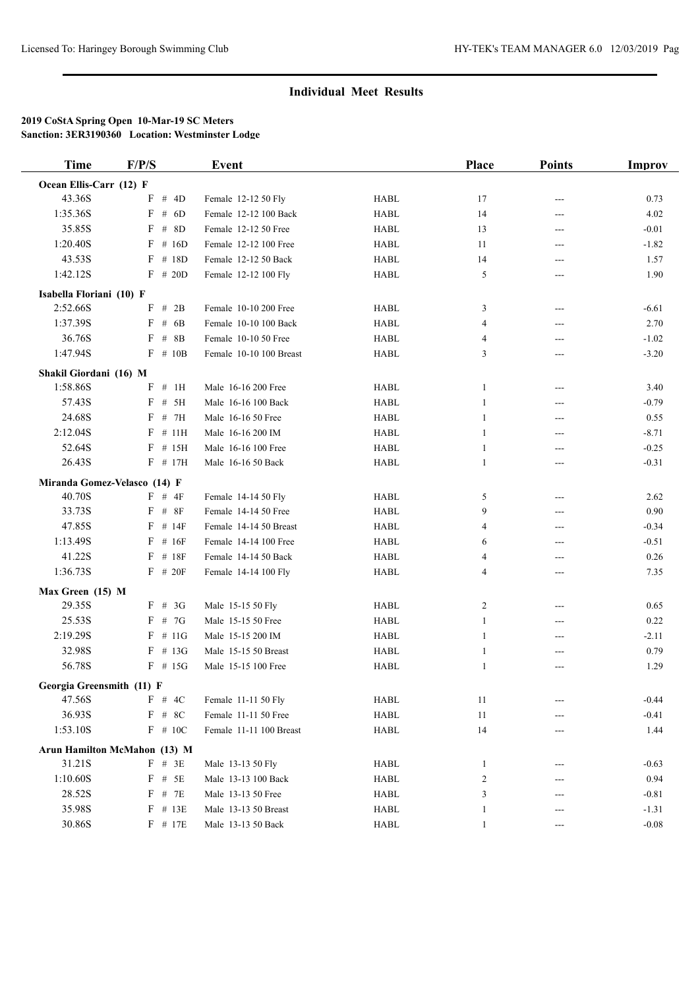| <b>Time</b>                  | F/P/S       | <b>Event</b>            |             | Place        | <b>Points</b> | Improv  |
|------------------------------|-------------|-------------------------|-------------|--------------|---------------|---------|
| Ocean Ellis-Carr (12) F      |             |                         |             |              |               |         |
| 43.36S                       | F # 4D      | Female 12-12 50 Fly     | <b>HABL</b> | 17           | ---           | 0.73    |
| 1:35.36S                     | $F$ # 6D    | Female 12-12 100 Back   | <b>HABL</b> | 14           | $---$         | 4.02    |
| 35.85S                       | # $8D$<br>F | Female 12-12 50 Free    | <b>HABL</b> | 13           | ---           | $-0.01$ |
| 1:20.40S                     | $F$ # 16D   | Female 12-12 100 Free   | <b>HABL</b> | 11           | ---           | $-1.82$ |
| 43.53S                       | $F$ # 18D   | Female 12-12 50 Back    | <b>HABL</b> | 14           | $---$         | 1.57    |
| 1:42.12S                     | $F$ # 20D   | Female 12-12 100 Fly    | <b>HABL</b> | 5            | ---           | 1.90    |
| Isabella Floriani (10) F     |             |                         |             |              |               |         |
| 2:52.66S                     | $F$ # 2B    | Female 10-10 200 Free   | <b>HABL</b> | 3            | $---$         | $-6.61$ |
| 1:37.39S                     | F # 6B      | Female 10-10 100 Back   | <b>HABL</b> | 4            | ---           | 2.70    |
| 36.76S                       | # $8B$<br>F | Female 10-10 50 Free    | <b>HABL</b> | 4            | ---           | $-1.02$ |
| 1:47.94S                     | $F \# 10B$  | Female 10-10 100 Breast | <b>HABL</b> | 3            | ---           | $-3.20$ |
| Shakil Giordani (16) M       |             |                         |             |              |               |         |
| 1:58.86S                     | $F$ # 1H    | Male 16-16 200 Free     | <b>HABL</b> | 1            | ---           | 3.40    |
| 57.43S                       | # 5H<br>F   | Male 16-16 100 Back     | <b>HABL</b> | 1            | $---$         | $-0.79$ |
| 24.68S                       | $F$ # 7H    | Male 16-16 50 Free      | <b>HABL</b> | 1            | ---           | 0.55    |
| 2:12.04S                     | $F$ # 11H   | Male 16-16 200 IM       | <b>HABL</b> | 1            | $---$         | $-8.71$ |
| 52.64S                       | # 15H<br>F  | Male 16-16 100 Free     | <b>HABL</b> | 1            | ---           | $-0.25$ |
| 26.43S                       | $F$ # 17H   | Male 16-16 50 Back      | <b>HABL</b> | 1            | ---           | $-0.31$ |
| Miranda Gomez-Velasco (14) F |             |                         |             |              |               |         |
| 40.70S                       | $F$ # 4F    | Female 14-14 50 Fly     | <b>HABL</b> | 5            | ---           | 2.62    |
| 33.73S                       | $F$ # $8F$  | Female 14-14 50 Free    | <b>HABL</b> | 9            | ---           | 0.90    |
| 47.85S                       | $F$ # 14F   | Female 14-14 50 Breast  | <b>HABL</b> | 4            | ---           | $-0.34$ |
| 1:13.49S                     | $F$ # 16F   | Female 14-14 100 Free   | <b>HABL</b> | 6            | ---           | $-0.51$ |
| 41.22S                       | $F$ # 18F   | Female 14-14 50 Back    | <b>HABL</b> | 4            | ---           | 0.26    |
| 1:36.73S                     | $F$ # 20F   | Female 14-14 100 Fly    | <b>HABL</b> | 4            | ---           | 7.35    |
| Max Green (15) M             |             |                         |             |              |               |         |
| 29.35S                       | $F$ # 3G    | Male 15-15 50 Fly       | <b>HABL</b> | 2            | ---           | 0.65    |
| 25.53S                       | $F$ # 7G    | Male 15-15 50 Free      | <b>HABL</b> | 1            | ---           | 0.22    |
| 2:19.29S                     | $F$ # 11G   | Male 15-15 200 IM       | <b>HABL</b> | 1            | ---           | $-2.11$ |
| 32.98S                       | $F$ # 13G   | Male 15-15 50 Breast    | <b>HABL</b> | 1            | ---           | 0.79    |
| 56.78S                       | $F$ # 15G   | Male 15-15 100 Free     | <b>HABL</b> | 1            |               | 1.29    |
| Georgia Greensmith (11) F    |             |                         |             |              |               |         |
| 47.56S                       | F # 4C      | Female 11-11 50 Fly     | HABL        | 11           |               | $-0.44$ |
| 36.93S                       | $F$ # 8C    | Female 11-11 50 Free    | <b>HABL</b> | 11           |               | $-0.41$ |
| 1:53.10S                     | $F$ # 10C   | Female 11-11 100 Breast | HABL        | 14           | ---           | 1.44    |
| Arun Hamilton McMahon (13) M |             |                         |             |              |               |         |
| 31.21S                       | $F$ # 3E    | Male 13-13 50 Fly       | HABL        | $\mathbf{1}$ | ---           | $-0.63$ |
| 1:10.60S                     | $F$ # $5E$  | Male 13-13 100 Back     | HABL        | 2            | ---           | 0.94    |
| 28.52S                       | $F$ # 7E    | Male 13-13 50 Free      | HABL        | 3            |               | $-0.81$ |
| 35.98S                       | $F$ # 13E   | Male 13-13 50 Breast    | HABL        | 1            | ---           | $-1.31$ |
| 30.86S                       | $F$ # 17E   | Male 13-13 50 Back      | HABL        | $\mathbf{1}$ | ---           | $-0.08$ |
|                              |             |                         |             |              |               |         |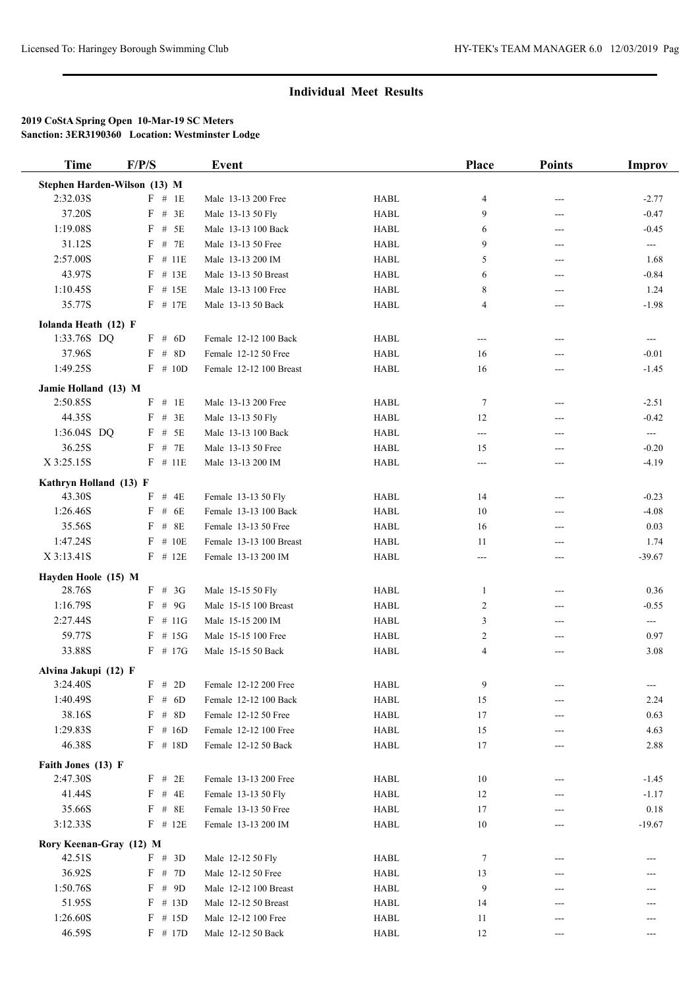| <b>Time</b>                  | F/P/S      | <b>Event</b>            |             | <b>Place</b>   | <b>Points</b>              | <b>Improv</b>            |
|------------------------------|------------|-------------------------|-------------|----------------|----------------------------|--------------------------|
| Stephen Harden-Wilson (13) M |            |                         |             |                |                            |                          |
| 2:32.03S                     | $F$ # 1E   | Male 13-13 200 Free     | <b>HABL</b> | 4              | $---$                      | $-2.77$                  |
| 37.20S                       | $F$ # 3E   | Male 13-13 50 Fly       | <b>HABL</b> | 9              | ---                        | $-0.47$                  |
| 1:19.08S                     | $F$ # 5E   | Male 13-13 100 Back     | <b>HABL</b> | 6              | ---                        | $-0.45$                  |
| 31.12S                       | $F$ # 7E   | Male 13-13 50 Free      | <b>HABL</b> | 9              | ---                        | $\qquad \qquad -$        |
| 2:57.00S                     | $F$ # 11E  | Male 13-13 200 IM       | <b>HABL</b> | 5              | ---                        | 1.68                     |
| 43.97S                       | $F$ # 13E  | Male 13-13 50 Breast    | <b>HABL</b> | 6              | ---                        | $-0.84$                  |
| 1:10.45S                     | $F$ # 15E  | Male 13-13 100 Free     | <b>HABL</b> | 8              | ---                        | 1.24                     |
| 35.77S                       | $F$ # 17E  | Male 13-13 50 Back      | <b>HABL</b> | 4              | ---                        | $-1.98$                  |
| Iolanda Heath (12) F         |            |                         |             |                |                            |                          |
| 1:33.76S DQ                  | $F$ # 6D   | Female 12-12 100 Back   | <b>HABL</b> | ---            | ---                        | $\cdots$                 |
| 37.96S                       | $F$ # 8D   | Female 12-12 50 Free    | <b>HABL</b> | 16             | ---                        | $-0.01$                  |
| 1:49.25S                     | $F \# 10D$ | Female 12-12 100 Breast | <b>HABL</b> | 16             | ---                        | $-1.45$                  |
| Jamie Holland (13) M         |            |                         |             |                |                            |                          |
| 2:50.85S                     | F # 1E     | Male 13-13 200 Free     | <b>HABL</b> | 7              | $---$                      | $-2.51$                  |
| 44.35S                       | $F$ # 3E   | Male 13-13 50 Fly       | <b>HABL</b> | 12             | ---                        | $-0.42$                  |
| 1:36.04S DQ                  | $F$ # 5E   | Male 13-13 100 Back     | <b>HABL</b> | $---$          | ---                        | $\hspace{0.05cm} \ldots$ |
| 36.25S                       | $F$ # 7E   | Male 13-13 50 Free      | <b>HABL</b> | 15             | ---                        | $-0.20$                  |
| X 3:25.15S                   | $F$ # 11E  | Male 13-13 200 IM       | <b>HABL</b> | ---            | ---                        | $-4.19$                  |
| Kathryn Holland (13) F       |            |                         |             |                |                            |                          |
| 43.30S                       | $F$ # 4E   | Female 13-13 50 Fly     | <b>HABL</b> | 14             | $\qquad \qquad \text{---}$ | $-0.23$                  |
| 1:26.46S                     | $F$ # 6E   | Female 13-13 100 Back   | <b>HABL</b> | 10             | ---                        | $-4.08$                  |
| 35.56S                       | $F$ # 8E   | Female 13-13 50 Free    | <b>HABL</b> | 16             | ---                        | 0.03                     |
| 1:47.24S                     | $F$ # 10E  | Female 13-13 100 Breast | <b>HABL</b> | 11             | ---                        | 1.74                     |
| X 3:13.41S                   | $F$ # 12E  | Female 13-13 200 IM     | <b>HABL</b> | ---            | ---                        | $-39.67$                 |
| Hayden Hoole (15) M          |            |                         |             |                |                            |                          |
| 28.76S                       | $F$ # 3G   | Male 15-15 50 Fly       | <b>HABL</b> | 1              | ---                        | 0.36                     |
| 1:16.79S                     | $F$ # 9G   | Male 15-15 100 Breast   | <b>HABL</b> | $\overline{c}$ | $---$                      | $-0.55$                  |
| 2:27.44S                     | $F$ # 11G  | Male 15-15 200 IM       | <b>HABL</b> | 3              | ---                        | $\sim$                   |
| 59.77S                       | $F$ # 15G  | Male 15-15 100 Free     | <b>HABL</b> | 2              | ---                        | 0.97                     |
| 33.88S                       | $F$ # 17G  | Male 15-15 50 Back      | <b>HABL</b> | 4              | ---                        | 3.08                     |
| Alvina Jakupi (12) F         |            |                         |             |                |                            |                          |
| 3:24.40S                     | F # 2D     | Female 12-12 200 Free   | <b>HABL</b> | 9              | ---                        | $\hspace{0.05cm} \ldots$ |
| 1:40.49S                     | F # 6D     | Female 12-12 100 Back   | <b>HABL</b> | 15             | ---                        | 2.24                     |
| 38.16S                       | $F$ # 8D   | Female 12-12 50 Free    | HABL        | 17             | ---                        | 0.63                     |
| 1:29.83S                     | $F \# 16D$ | Female 12-12 100 Free   | HABL        | 15             | ---                        | 4.63                     |
| 46.38S                       | $F$ # 18D  | Female 12-12 50 Back    | <b>HABL</b> | 17             | ---                        | 2.88                     |
| Faith Jones (13) F           |            |                         |             |                |                            |                          |
| 2:47.30S                     | $F$ # 2E   | Female 13-13 200 Free   | HABL        | 10             | ---                        | $-1.45$                  |
| 41.44S                       | $F$ # 4E   | Female 13-13 50 Fly     | HABL        | 12             | ---                        | $-1.17$                  |
| 35.66S                       | $F$ # 8E   | Female 13-13 50 Free    | <b>HABL</b> | 17             | ---                        | 0.18                     |
| 3:12.33S                     | $F$ # 12E  | Female 13-13 200 IM     | HABL        | $10\,$         | ---                        | $-19.67$                 |
| Rory Keenan-Gray (12) M      |            |                         |             |                |                            |                          |
| 42.51S                       | F # 3D     | Male 12-12 50 Fly       | HABL        | 7              |                            |                          |
| 36.92S                       | F # 7D     | Male 12-12 50 Free      | <b>HABL</b> | 13             | ---                        |                          |
| 1:50.76S                     | F # 9D     | Male 12-12 100 Breast   | HABL        | 9              |                            |                          |
| 51.95S                       | $F$ # 13D  | Male 12-12 50 Breast    | HABL        | 14             | ---                        |                          |
| 1:26.60S                     | $F$ # 15D  | Male 12-12 100 Free     | <b>HABL</b> | 11             |                            |                          |
| 46.59S                       | $F$ # 17D  | Male 12-12 50 Back      | HABL        | 12             | ---                        | $---$                    |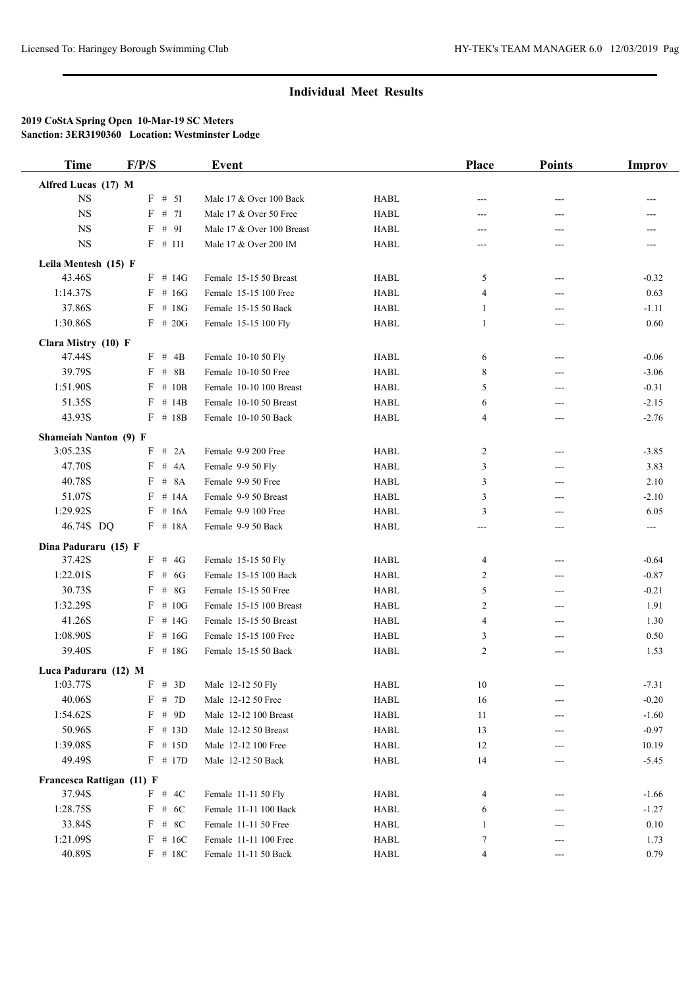| <b>Time</b>               | F/P/S      | Event                     |             | <b>Place</b>   | <b>Points</b> | Improv                     |
|---------------------------|------------|---------------------------|-------------|----------------|---------------|----------------------------|
| Alfred Lucas (17) M       |            |                           |             |                |               |                            |
| <b>NS</b>                 | $F$ # 5I   | Male 17 & Over 100 Back   | <b>HABL</b> | ---            |               |                            |
| $_{\rm NS}$               | $F$ # 7I   | Male 17 & Over 50 Free    | <b>HABL</b> | ---            | ---           | ---                        |
| <b>NS</b>                 | F # 9I     | Male 17 & Over 100 Breast | <b>HABL</b> | ---            | ---           |                            |
| <b>NS</b>                 | $F$ # 111  | Male 17 & Over 200 IM     | <b>HABL</b> | ---            | ---           |                            |
| Leila Mentesh (15) F      |            |                           |             |                |               |                            |
| 43.46S                    | $F$ # 14G  | Female 15-15 50 Breast    | <b>HABL</b> | 5              | $---$         | $-0.32$                    |
| 1:14.37S                  | $F$ # 16G  | Female 15-15 100 Free     | <b>HABL</b> | 4              | ---           | 0.63                       |
| 37.86S                    | $F$ # 18G  | Female 15-15 50 Back      | <b>HABL</b> | 1              | ---           | $-1.11$                    |
| 1:30.86S                  | $F$ # 20G  | Female 15-15 100 Fly      | <b>HABL</b> | 1              | ---           | 0.60                       |
| Clara Mistry (10) F       |            |                           |             |                |               |                            |
| 47.44S                    | F # 4B     | Female 10-10 50 Fly       | <b>HABL</b> | 6              | $---$         | $-0.06$                    |
| 39.79S                    | $F$ # 8B   | Female 10-10 50 Free      | <b>HABL</b> | 8              | ---           | $-3.06$                    |
| 1:51.90S                  | $F \# 10B$ | Female 10-10 100 Breast   | <b>HABL</b> | 5              | ---           | $-0.31$                    |
| 51.35S                    | $F$ # 14B  | Female 10-10 50 Breast    | <b>HABL</b> | 6              | ---           | $-2.15$                    |
| 43.93S                    | $F$ # 18B  | Female 10-10 50 Back      | <b>HABL</b> | $\overline{4}$ | ---           | $-2.76$                    |
| Shameiah Nanton (9) F     |            |                           |             |                |               |                            |
| 3:05.23S                  | $F$ # 2A   | Female 9-9 200 Free       | <b>HABL</b> | 2              | ---           | $-3.85$                    |
| 47.70S                    | $F$ # 4A   | Female 9-9 50 Fly         | <b>HABL</b> | 3              | ---           | 3.83                       |
| 40.78S                    | $F$ # $8A$ | Female 9-9 50 Free        | <b>HABL</b> | 3              | ---           | 2.10                       |
| 51.07S                    | $F$ # 14A  | Female 9-9 50 Breast      | <b>HABL</b> | 3              | ---           | $-2.10$                    |
| 1:29.92S                  | $F$ # 16A  | Female 9-9 100 Free       | <b>HABL</b> | 3              | ---           | 6.05                       |
| 46.74S DQ                 | $F$ # 18A  | Female 9-9 50 Back        | <b>HABL</b> | $---$          | ---           | $\qquad \qquad \text{---}$ |
| Dina Paduraru (15) F      |            |                           |             |                |               |                            |
| 37.42S                    | $F$ # 4G   | Female 15-15 50 Fly       | <b>HABL</b> | 4              | ---           | $-0.64$                    |
| 1:22.01S                  | $F$ # 6G   | Female 15-15 100 Back     | <b>HABL</b> | 2              | ---           | $-0.87$                    |
| 30.73S                    | $F$ # 8G   | Female 15-15 50 Free      | <b>HABL</b> | 5              | ---           | $-0.21$                    |
| 1:32.29S                  | $F \# 10G$ | Female 15-15 100 Breast   | <b>HABL</b> | 2              | ---           | 1.91                       |
| 41.26S                    | $F \# 14G$ | Female 15-15 50 Breast    | <b>HABL</b> | 4              | ---           | 1.30                       |
| 1:08.90S                  | $F$ # 16G  | Female 15-15 100 Free     | <b>HABL</b> | 3              | ---           | 0.50                       |
| 39.40S                    | $F$ # 18G  | Female 15-15 50 Back      | <b>HABL</b> | 2              | ---           | 1.53                       |
| Luca Paduraru (12) M      |            |                           |             |                |               |                            |
| 1:03.77S                  | F # 3D     | Male 12-12 50 Fly         | <b>HABL</b> | $10\,$         |               | $-7.31$                    |
| 40.06S                    | F # 7D     | Male 12-12 50 Free        | HABL        | 16             | ---           | $-0.20$                    |
| 1:54.62S                  | F # 9D     | Male 12-12 100 Breast     | <b>HABL</b> | 11             |               | $-1.60$                    |
| 50.96S                    | $F$ # 13D  | Male 12-12 50 Breast      | <b>HABL</b> | 13             | ---           | $-0.97$                    |
| 1:39.08S                  | $F$ # 15D  | Male 12-12 100 Free       | HABL        | 12             |               | 10.19                      |
| 49.49S                    | $F$ # 17D  | Male 12-12 50 Back        | HABL        | 14             |               | $-5.45$                    |
| Francesca Rattigan (11) F |            |                           |             |                |               |                            |
| 37.94S                    | F # 4C     | Female 11-11 50 Fly       | <b>HABL</b> | 4              | ---           | $-1.66$                    |
| 1:28.75S                  | F # 6C     | Female 11-11 100 Back     | HABL        | 6              | ---           | $-1.27$                    |
| 33.84S                    | $F$ # 8C   | Female 11-11 50 Free      | HABL        | 1              |               | 0.10                       |
| 1:21.09S                  | $F$ # 16C  | Female 11-11 100 Free     | HABL        | 7              | ---           | 1.73                       |
| 40.89S                    | $F$ # 18C  | Female 11-11 50 Back      | <b>HABL</b> | 4              | ---           | 0.79                       |